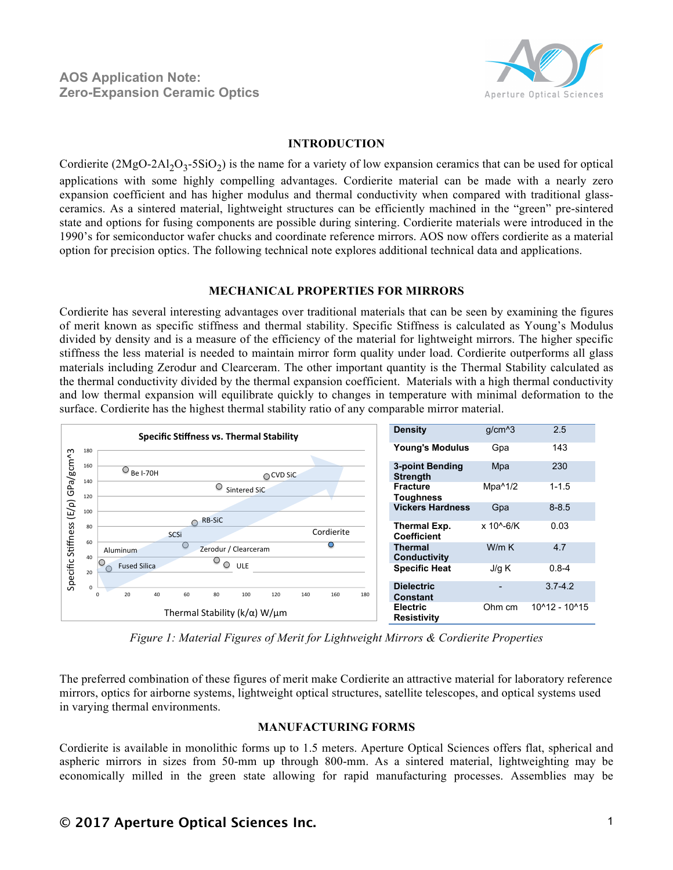

### **INTRODUCTION**

Cordierite  $(2MgO-2A1<sub>2</sub>O<sub>3</sub>-5SiO<sub>2</sub>)$  is the name for a variety of low expansion ceramics that can be used for optical applications with some highly compelling advantages. Cordierite material can be made with a nearly zero expansion coefficient and has higher modulus and thermal conductivity when compared with traditional glassceramics. As a sintered material, lightweight structures can be efficiently machined in the "green" pre-sintered state and options for fusing components are possible during sintering. Cordierite materials were introduced in the 1990's for semiconductor wafer chucks and coordinate reference mirrors. AOS now offers cordierite as a material option for precision optics. The following technical note explores additional technical data and applications.

### **MECHANICAL PROPERTIES FOR MIRRORS**

Cordierite has several interesting advantages over traditional materials that can be seen by examining the figures of merit known as specific stiffness and thermal stability. Specific Stiffness is calculated as Young's Modulus divided by density and is a measure of the efficiency of the material for lightweight mirrors. The higher specific stiffness the less material is needed to maintain mirror form quality under load. Cordierite outperforms all glass materials including Zerodur and Clearceram. The other important quantity is the Thermal Stability calculated as the thermal conductivity divided by the thermal expansion coefficient. Materials with a high thermal conductivity and low thermal expansion will equilibrate quickly to changes in temperature with minimal deformation to the surface. Cordierite has the highest thermal stability ratio of any comparable mirror material.



*Figure 1: Material Figures of Merit for Lightweight Mirrors & Cordierite Properties*

The preferred combination of these figures of merit make Cordierite an attractive material for laboratory reference mirrors, optics for airborne systems, lightweight optical structures, satellite telescopes, and optical systems used in varying thermal environments.

### **MANUFACTURING FORMS**

Cordierite is available in monolithic forms up to 1.5 meters. Aperture Optical Sciences offers flat, spherical and aspheric mirrors in sizes from 50-mm up through 800-mm. As a sintered material, lightweighting may be economically milled in the green state allowing for rapid manufacturing processes. Assemblies may be

# **© 2017 Aperture Optical Sciences Inc.** 1